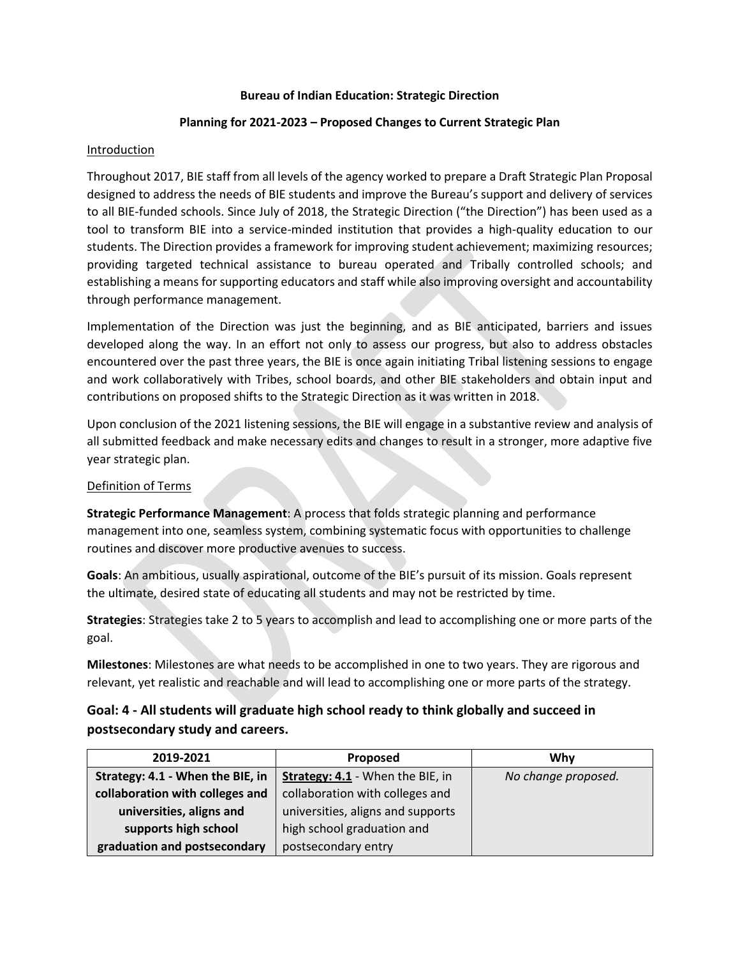#### **Bureau of Indian Education: Strategic Direction**

## **Planning for 2021-2023 – Proposed Changes to Current Strategic Plan**

## Introduction

Throughout 2017, BIE staff from all levels of the agency worked to prepare a Draft Strategic Plan Proposal designed to address the needs of BIE students and improve the Bureau's support and delivery of services to all BIE-funded schools. Since July of 2018, the Strategic Direction ("the Direction") has been used as a tool to transform BIE into a service-minded institution that provides a high-quality education to our students. The Direction provides a framework for improving student achievement; maximizing resources; providing targeted technical assistance to bureau operated and Tribally controlled schools; and establishing a means for supporting educators and staff while also improving oversight and accountability through performance management.

Implementation of the Direction was just the beginning, and as BIE anticipated, barriers and issues developed along the way. In an effort not only to assess our progress, but also to address obstacles encountered over the past three years, the BIE is once again initiating Tribal listening sessions to engage and work collaboratively with Tribes, school boards, and other BIE stakeholders and obtain input and contributions on proposed shifts to the Strategic Direction as it was written in 2018.

Upon conclusion of the 2021 listening sessions, the BIE will engage in a substantive review and analysis of all submitted feedback and make necessary edits and changes to result in a stronger, more adaptive five year strategic plan.

## Definition of Terms

**Strategic Performance Management**: A process that folds strategic planning and performance management into one, seamless system, combining systematic focus with opportunities to challenge routines and discover more productive avenues to success.

**Goals**: An ambitious, usually aspirational, outcome of the BIE's pursuit of its mission. Goals represent the ultimate, desired state of educating all students and may not be restricted by time.

**Strategies**: Strategies take 2 to 5 years to accomplish and lead to accomplishing one or more parts of the goal.

**Milestones**: Milestones are what needs to be accomplished in one to two years. They are rigorous and relevant, yet realistic and reachable and will lead to accomplishing one or more parts of the strategy.

# **Goal: 4 - All students will graduate high school ready to think globally and succeed in postsecondary study and careers.**

| 2019-2021                        | Proposed                          | Why                 |
|----------------------------------|-----------------------------------|---------------------|
| Strategy: 4.1 - When the BIE, in | Strategy: 4.1 - When the BIE, in  | No change proposed. |
| collaboration with colleges and  | collaboration with colleges and   |                     |
| universities, aligns and         | universities, aligns and supports |                     |
| supports high school             | high school graduation and        |                     |
| graduation and postsecondary     | postsecondary entry               |                     |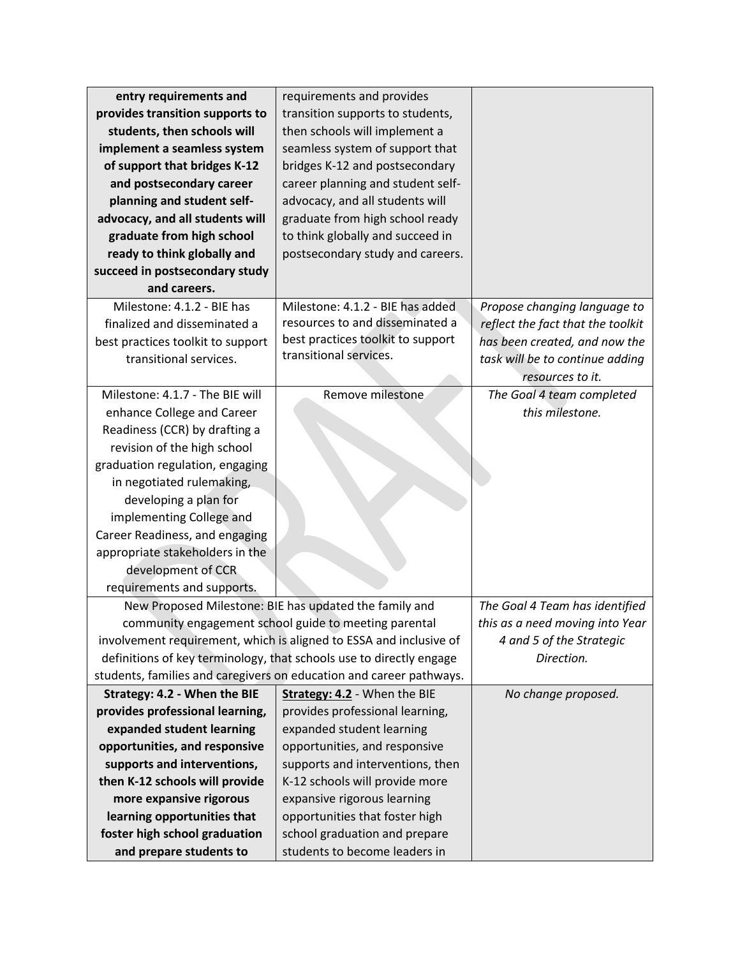| entry requirements and                                              | requirements and provides                                           |                                   |
|---------------------------------------------------------------------|---------------------------------------------------------------------|-----------------------------------|
| provides transition supports to                                     | transition supports to students,                                    |                                   |
| students, then schools will                                         | then schools will implement a                                       |                                   |
| implement a seamless system                                         | seamless system of support that                                     |                                   |
| of support that bridges K-12                                        | bridges K-12 and postsecondary                                      |                                   |
| and postsecondary career                                            | career planning and student self-                                   |                                   |
| planning and student self-                                          | advocacy, and all students will                                     |                                   |
| advocacy, and all students will                                     | graduate from high school ready                                     |                                   |
| graduate from high school                                           | to think globally and succeed in                                    |                                   |
| ready to think globally and                                         | postsecondary study and careers.                                    |                                   |
| succeed in postsecondary study                                      |                                                                     |                                   |
| and careers.                                                        |                                                                     |                                   |
| Milestone: 4.1.2 - BIE has                                          | Milestone: 4.1.2 - BIE has added                                    | Propose changing language to      |
| finalized and disseminated a                                        | resources to and disseminated a                                     | reflect the fact that the toolkit |
| best practices toolkit to support                                   | best practices toolkit to support                                   | has been created, and now the     |
| transitional services.                                              | transitional services.                                              | task will be to continue adding   |
|                                                                     |                                                                     | resources to it.                  |
| Milestone: 4.1.7 - The BIE will                                     | Remove milestone                                                    | The Goal 4 team completed         |
| enhance College and Career                                          |                                                                     | this milestone.                   |
| Readiness (CCR) by drafting a                                       |                                                                     |                                   |
| revision of the high school                                         |                                                                     |                                   |
| graduation regulation, engaging                                     |                                                                     |                                   |
| in negotiated rulemaking,                                           |                                                                     |                                   |
| developing a plan for                                               |                                                                     |                                   |
| implementing College and                                            |                                                                     |                                   |
| Career Readiness, and engaging                                      |                                                                     |                                   |
| appropriate stakeholders in the                                     |                                                                     |                                   |
| development of CCR                                                  |                                                                     |                                   |
| requirements and supports.                                          |                                                                     |                                   |
| New Proposed Milestone: BIE has updated the family and              |                                                                     | The Goal 4 Team has identified    |
|                                                                     | community engagement school guide to meeting parental               | this as a need moving into Year   |
| involvement requirement, which is aligned to ESSA and inclusive of  |                                                                     | 4 and 5 of the Strategic          |
| definitions of key terminology, that schools use to directly engage |                                                                     | Direction.                        |
|                                                                     | students, families and caregivers on education and career pathways. |                                   |
| Strategy: 4.2 - When the BIE                                        | Strategy: 4.2 - When the BIE                                        | No change proposed.               |
| provides professional learning,                                     | provides professional learning,                                     |                                   |
| expanded student learning                                           | expanded student learning                                           |                                   |
| opportunities, and responsive                                       | opportunities, and responsive                                       |                                   |
| supports and interventions,                                         | supports and interventions, then                                    |                                   |
| then K-12 schools will provide                                      | K-12 schools will provide more                                      |                                   |
| more expansive rigorous                                             | expansive rigorous learning                                         |                                   |
| learning opportunities that                                         | opportunities that foster high                                      |                                   |
| foster high school graduation                                       | school graduation and prepare                                       |                                   |
| and prepare students to                                             | students to become leaders in                                       |                                   |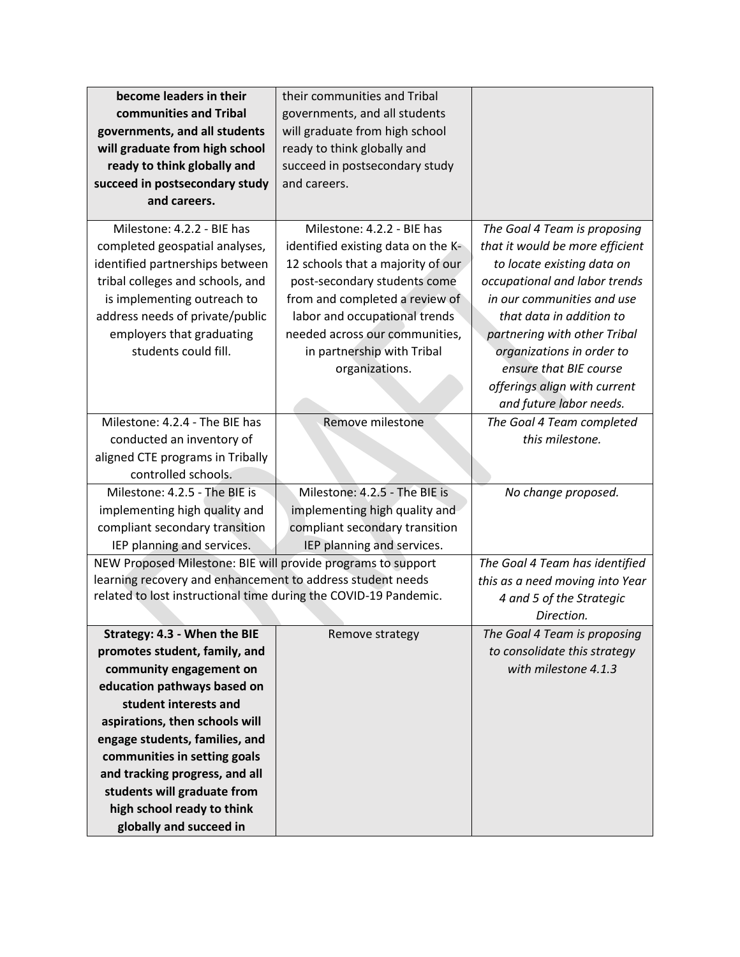| become leaders in their                                          | their communities and Tribal       |                                 |
|------------------------------------------------------------------|------------------------------------|---------------------------------|
| communities and Tribal                                           | governments, and all students      |                                 |
| governments, and all students                                    | will graduate from high school     |                                 |
| will graduate from high school                                   | ready to think globally and        |                                 |
| ready to think globally and                                      | succeed in postsecondary study     |                                 |
| succeed in postsecondary study                                   | and careers.                       |                                 |
| and careers.                                                     |                                    |                                 |
|                                                                  |                                    |                                 |
| Milestone: 4.2.2 - BIE has                                       | Milestone: 4.2.2 - BIE has         | The Goal 4 Team is proposing    |
| completed geospatial analyses,                                   | identified existing data on the K- | that it would be more efficient |
| identified partnerships between                                  | 12 schools that a majority of our  | to locate existing data on      |
| tribal colleges and schools, and                                 | post-secondary students come       | occupational and labor trends   |
| is implementing outreach to                                      | from and completed a review of     | in our communities and use      |
| address needs of private/public                                  | labor and occupational trends      | that data in addition to        |
| employers that graduating                                        | needed across our communities,     | partnering with other Tribal    |
| students could fill.                                             | in partnership with Tribal         | organizations in order to       |
|                                                                  | organizations.                     | ensure that BIE course          |
|                                                                  |                                    | offerings align with current    |
|                                                                  |                                    | and future labor needs.         |
| Milestone: 4.2.4 - The BIE has                                   | Remove milestone                   | The Goal 4 Team completed       |
| conducted an inventory of                                        |                                    | this milestone.                 |
| aligned CTE programs in Tribally                                 |                                    |                                 |
| controlled schools.                                              |                                    |                                 |
| Milestone: 4.2.5 - The BIE is                                    | Milestone: 4.2.5 - The BIE is      | No change proposed.             |
| implementing high quality and                                    | implementing high quality and      |                                 |
| compliant secondary transition                                   | compliant secondary transition     |                                 |
| IEP planning and services.                                       | IEP planning and services.         |                                 |
| NEW Proposed Milestone: BIE will provide programs to support     |                                    | The Goal 4 Team has identified  |
| learning recovery and enhancement to address student needs       |                                    | this as a need moving into Year |
| related to lost instructional time during the COVID-19 Pandemic. |                                    | 4 and 5 of the Strategic        |
|                                                                  |                                    | Direction.                      |
| Strategy: 4.3 - When the BIE                                     | Remove strategy                    | The Goal 4 Team is proposing    |
| promotes student, family, and                                    |                                    | to consolidate this strategy    |
| community engagement on                                          |                                    | with milestone 4.1.3            |
| education pathways based on                                      |                                    |                                 |
| student interests and                                            |                                    |                                 |
| aspirations, then schools will                                   |                                    |                                 |
| engage students, families, and                                   |                                    |                                 |
| communities in setting goals                                     |                                    |                                 |
| and tracking progress, and all                                   |                                    |                                 |
| students will graduate from                                      |                                    |                                 |
| high school ready to think                                       |                                    |                                 |
| globally and succeed in                                          |                                    |                                 |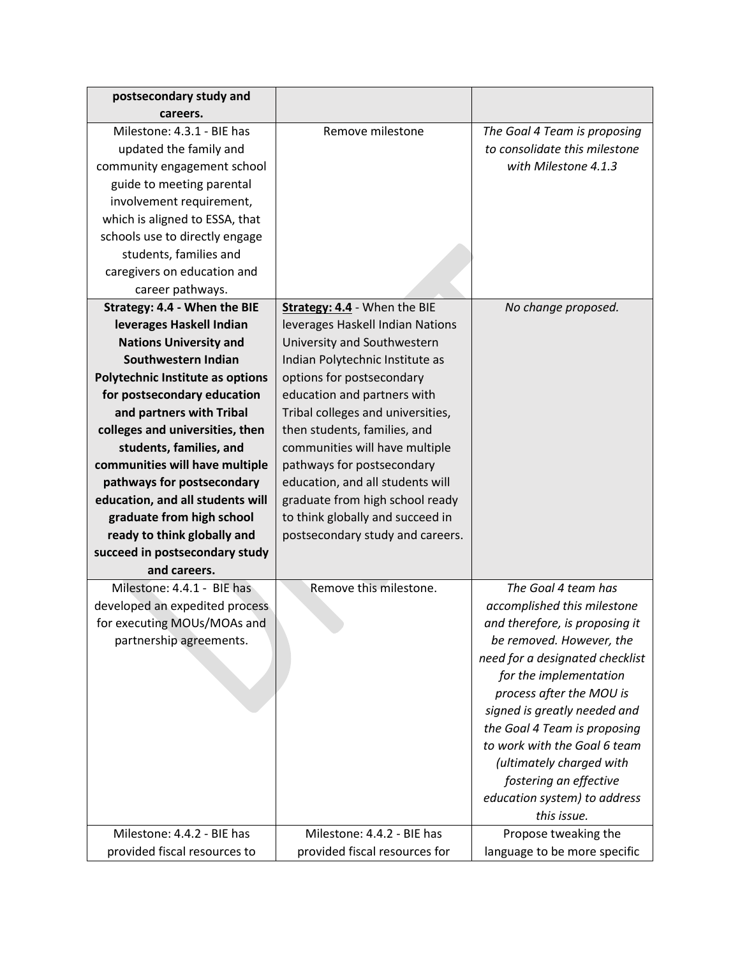| postsecondary study and                 |                                   |                                 |
|-----------------------------------------|-----------------------------------|---------------------------------|
| careers.                                |                                   |                                 |
| Milestone: 4.3.1 - BIE has              | Remove milestone                  | The Goal 4 Team is proposing    |
| updated the family and                  |                                   | to consolidate this milestone   |
| community engagement school             |                                   | with Milestone 4.1.3            |
| guide to meeting parental               |                                   |                                 |
| involvement requirement,                |                                   |                                 |
| which is aligned to ESSA, that          |                                   |                                 |
| schools use to directly engage          |                                   |                                 |
| students, families and                  |                                   |                                 |
| caregivers on education and             |                                   |                                 |
| career pathways.                        |                                   |                                 |
| Strategy: 4.4 - When the BIE            | Strategy: 4.4 - When the BIE      | No change proposed.             |
| leverages Haskell Indian                | leverages Haskell Indian Nations  |                                 |
| <b>Nations University and</b>           | University and Southwestern       |                                 |
| Southwestern Indian                     | Indian Polytechnic Institute as   |                                 |
| <b>Polytechnic Institute as options</b> | options for postsecondary         |                                 |
| for postsecondary education             | education and partners with       |                                 |
| and partners with Tribal                | Tribal colleges and universities, |                                 |
| colleges and universities, then         | then students, families, and      |                                 |
| students, families, and                 | communities will have multiple    |                                 |
| communities will have multiple          | pathways for postsecondary        |                                 |
| pathways for postsecondary              | education, and all students will  |                                 |
| education, and all students will        | graduate from high school ready   |                                 |
| graduate from high school               | to think globally and succeed in  |                                 |
| ready to think globally and             | postsecondary study and careers.  |                                 |
| succeed in postsecondary study          |                                   |                                 |
| and careers.                            |                                   |                                 |
| Milestone: 4.4.1 - BIE has              | Remove this milestone.            | The Goal 4 team has             |
| developed an expedited process          |                                   | accomplished this milestone     |
| for executing MOUs/MOAs and             |                                   | and therefore, is proposing it  |
| partnership agreements.                 |                                   | be removed. However, the        |
|                                         |                                   | need for a designated checklist |
|                                         |                                   | for the implementation          |
|                                         |                                   | process after the MOU is        |
|                                         |                                   | signed is greatly needed and    |
|                                         |                                   | the Goal 4 Team is proposing    |
|                                         |                                   | to work with the Goal 6 team    |
|                                         |                                   | (ultimately charged with        |
|                                         |                                   | fostering an effective          |
|                                         |                                   | education system) to address    |
|                                         |                                   | this issue.                     |
| Milestone: 4.4.2 - BIE has              | Milestone: 4.4.2 - BIE has        | Propose tweaking the            |
| provided fiscal resources to            | provided fiscal resources for     | language to be more specific    |